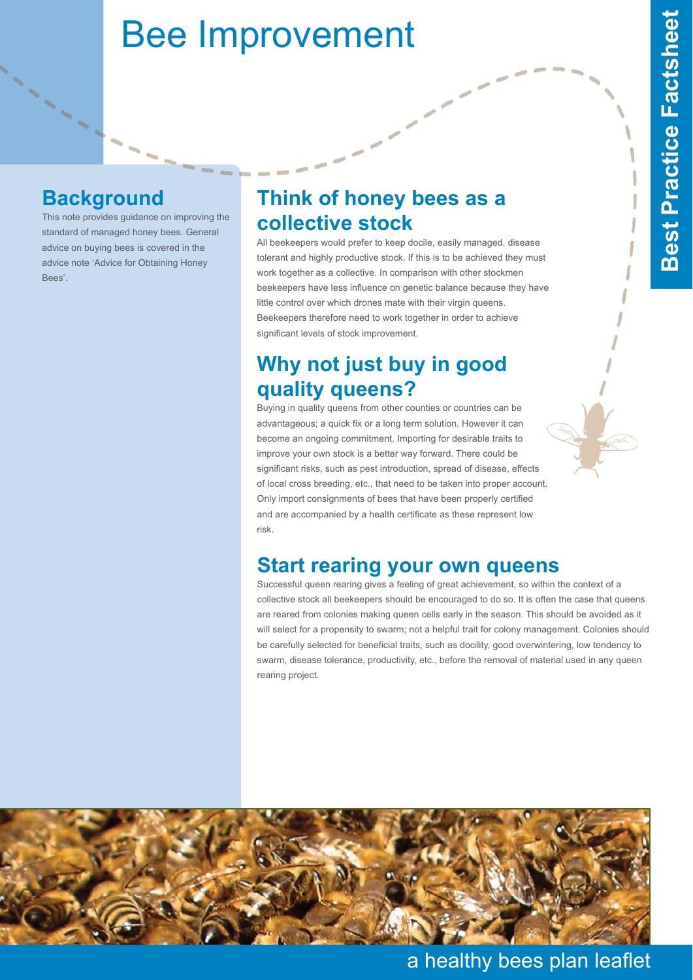# Bee Improvement

#### **Background**

This note provides guidance on improving the standard of managed honey bees. General advice on buying bees is covered in the advice note 'Advice for Obtaining Honey Bees'.

## **Think of honey bees as a collective stock**

All beekeepers would prefer to keep docile, easily managed, disease tolerant and highly productive stock. If this is to be achieved they must work together as a collective. In comparison with other stockmen beekeepers have less influence on genetic balance because they have little control over which drones mate with their virgin queens. Beekeepers therefore need to work together in order to achieve significant levels of stock improvement.

# **Why not just buy in good quality queens?**

Buying in quality queens from other counties or countries can be advantageous; a quick fix or a long term solution. However it can become an ongoing commitment. Importing for desirable traits to improve your own stock is a better way forward. There could be significant risks, such as pest introduction, spread of disease, effects of local cross breeding, etc., that need to be taken into proper account. Only import consignments of bees that have been properly certified and are accompanied by a health certificate as these represent low risk.

#### **Start rearing your own queens**

Successful queen rearing gives a feeling of great achievement, so within the context of a collective stock all beekeepers should be encouraged to do so. It is often the case that queens are reared from colonies making queen cells early in the season. This should be avoided as it will select for a propensity to swarm; not a helpful trait for colony management. Colonies should be carefully selected for beneficial traits, such as docility, good overwintering, low tendency to swarm, disease tolerance, productivity, etc., before the removal of material used in any queen rearing project.



a healthy bees plan leaflet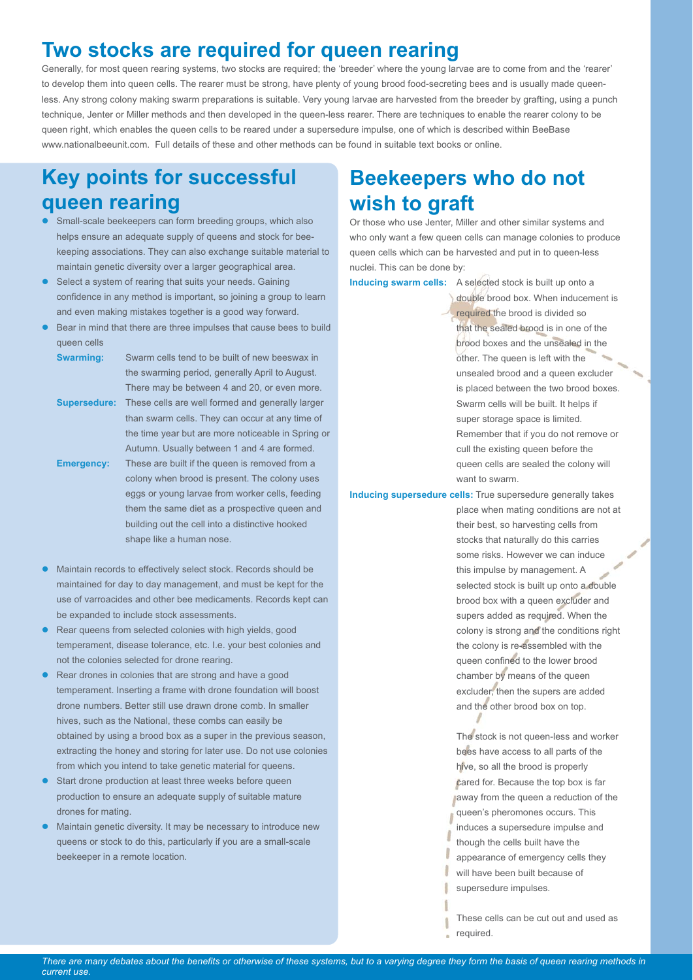## **Two stocks are required for queen rearing**

Generally, for most queen rearing systems, two stocks are required; the 'breeder' where the young larvae are to come from and the 'rearer' to develop them into queen cells. The rearer must be strong, have plenty of young brood food-secreting bees and is usually made queenless. Any strong colony making swarm preparations is suitable. Very young larvae are harvested from the breeder by grafting, using a punch technique, Jenter or Miller methods and then developed in the queen-less rearer. There are techniques to enable the rearer colony to be queen right, which enables the queen cells to be reared under a supersedure impulse, one of which is described within BeeBase www.nationalbeeunit.com. Full details of these and other methods can be found in suitable text books or online.

## **Key points for successful queen rearing**

- $\bullet$  Small-scale beekeepers can form breeding groups, which also helps ensure an adequate supply of queens and stock for beekeeping associations. They can also exchange suitable material to maintain genetic diversity over a larger geographical area.
- $\bullet$  Select a system of rearing that suits your needs. Gaining confidence in any method is important, so joining a group to learn and even making mistakes together is a good way forward.
- $\bullet$  Bear in mind that there are three impulses that cause bees to build queen cells

**Swarming:** Swarm cells tend to be built of new beeswax in the swarming period, generally April to August. There may be between 4 and 20, or even more. **Supersedure:** These cells are well formed and generally larger than swarm cells. They can occur at any time of

the time year but are more noticeable in Spring or Autumn. Usually between 1 and 4 are formed. **Emergency:** These are built if the queen is removed from a colony when brood is present. The colony uses eggs or young larvae from worker cells, feeding them the same diet as a prospective queen and building out the cell into a distinctive hooked shape like a human nose.

- $\bullet$  Maintain records to effectively select stock. Records should be maintained for day to day management, and must be kept for the use of varroacides and other bee medicaments. Records kept can be expanded to include stock assessments.
- $\bullet$  Rear queens from selected colonies with high yields, good temperament, disease tolerance, etc. I.e. your best colonies and not the colonies selected for drone rearing.
- $\bullet$  Rear drones in colonies that are strong and have a good temperament. Inserting a frame with drone foundation will boost drone numbers. Better still use drawn drone comb. In smaller hives, such as the National, these combs can easily be obtained by using a brood box as a super in the previous season, extracting the honey and storing for later use. Do not use colonies from which you intend to take genetic material for queens.
- $\bullet$  Start drone production at least three weeks before queen production to ensure an adequate supply of suitable mature drones for mating.
- $\bullet$  Maintain genetic diversity. It may be necessary to introduce new queens or stock to do this, particularly if you are a small-scale beekeeper in a remote location.

# **Beekeepers who do not wish to graft**

Or those who use Jenter, Miller and other similar systems and who only want a few queen cells can manage colonies to produce queen cells which can be harvested and put in to queen-less nuclei. This can be done by:

**Inducing swarm cells:** A selected stock is built up onto a

double brood box. When inducement is required the brood is divided so that the sealed brood is in one of the brood boxes and the unsealed in the other. The queen is left with the unsealed brood and a queen excluder is placed between the two brood boxes Swarm cells will be built. It helps if super storage space is limited. Remember that if you do not remove or cull the existing queen before the queen cells are sealed the colony will want to swarm.

**Inducing supersedure cells:** True supersedure generally takes

place when mating conditions are not at their best, so harvesting cells from stocks that naturally do this carries some risks. However we can induce this impulse by management. A selected stock is built up onto a double brood box with a queen excluder and supers added as required. When the colony is strong and the conditions right the colony is re-assembled with the queen confined to the lower brood chamber by means of the queen excluder, then the supers are added and the other brood box on top.

The stock is not queen-less and worker bees have access to all parts of the hive, so all the brood is properly cared for. Because the top box is far **Jaway from the queen a reduction of the** queen's pheromones occurs. This induces a supersedure impulse and though the cells built have the appearance of emergency cells they will have been built because of supersedure impulses.

These cells can be cut out and used as required.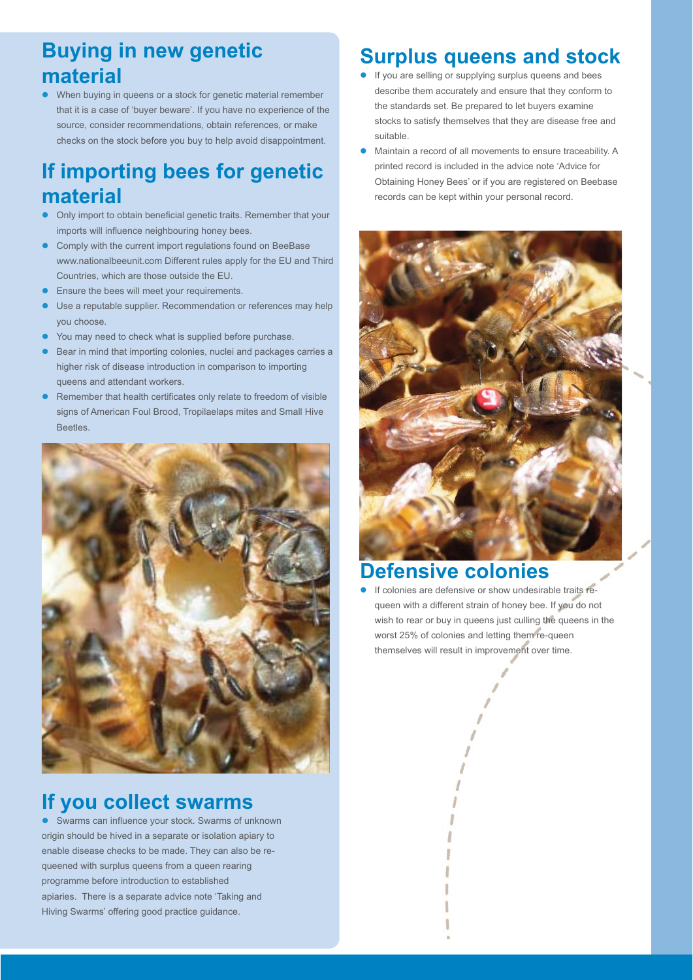## **Buying in new genetic material**

 $\bullet$  When buying in queens or a stock for genetic material remember that it is a case of 'buyer beware'. If you have no experience of the source, consider recommendations, obtain references, or make checks on the stock before you buy to help avoid disappointment.

# **If importing bees for genetic material**

- $\bullet$  Only import to obtain beneficial genetic traits. Remember that your imports will influence neighbouring honey bees.
- $\bullet$  Comply with the current import regulations found on BeeBase www.nationalbeeunit.com Different rules apply for the EU and Third Countries, which are those outside the EU.
- $\bullet$ Ensure the bees will meet your requirements.
- $\bullet$  Use a reputable supplier. Recommendation or references may help you choose.
- $\bullet$ You may need to check what is supplied before purchase.
- $\bullet$  Bear in mind that importing colonies, nuclei and packages carries a higher risk of disease introduction in comparison to importing queens and attendant workers.
- $\bullet$  Remember that health certificates only relate to freedom of visible signs of American Foul Brood, Tropilaelaps mites and Small Hive Beetles.



#### **If you collect swarms**

 $\bullet$  Swarms can influence your stock. Swarms of unknown origin should be hived in a separate or isolation apiary to enable disease checks to be made. They can also be requeened with surplus queens from a queen rearing programme before introduction to established apiaries. There is a separate advice note 'Taking and Hiving Swarms' offering good practice guidance.

# **Surplus queens and stock**

- If you are selling or supplying surplus queens and bees describe them accurately and ensure that they conform to the standards set. Be prepared to let buyers examine stocks to satisfy themselves that they are disease free and suitable.
- $\bullet$  Maintain a record of all movements to ensure traceability. A printed record is included in the advice note 'Advice for Obtaining Honey Bees' or if you are registered on Beebase records can be kept within your personal record.



#### **Defensive colonies**

 $\bullet$  If colonies are defensive or show undesirable traits requeen with a different strain of honey bee. If you do not wish to rear or buy in queens just culling the queens in the worst 25% of colonies and letting them re-queen themselves will result in improvement over time.